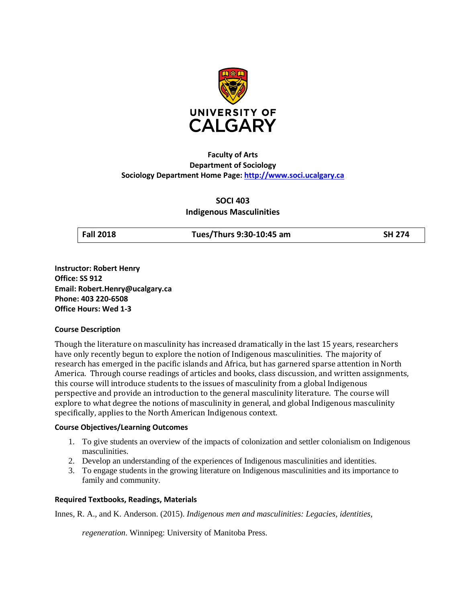

# **Faculty of Arts Department of Sociology Sociology Department Home Page: [http://www.soci.ucalgary.ca](http://www.soci.ucalgary.ca/)**

### **SOCI 403**

### **Indigenous Masculinities**

**Fall 2018 Tues/Thurs 9:30-10:45 am SH 274**

**Instructor: Robert Henry Office: SS 912 Email: Robert.Henry@ucalgary.ca Phone: 403 220-6508 Office Hours: Wed 1-3**

### **Course Description**

Though the literature on masculinity has increased dramatically in the last 15 years, researchers have only recently begun to explore the notion of Indigenous masculinities. The majority of research has emerged in the pacific islands and Africa, but has garnered sparse attention in North America. Through course readings of articles and books, class discussion, and written assignments, this course will introduce students to the issues of masculinity from a global Indigenous perspective and provide an introduction to the general masculinity literature. The course will explore to what degree the notions of masculinity in general, and global Indigenous masculinity specifically, applies to the North American Indigenous context.

### **Course Objectives/Learning Outcomes**

- 1. To give students an overview of the impacts of colonization and settler colonialism on Indigenous masculinities.
- 2. Develop an understanding of the experiences of Indigenous masculinities and identities.
- 3. To engage students in the growing literature on Indigenous masculinities and its importance to family and community.

### **Required Textbooks, Readings, Materials**

Innes, R. A., and K. Anderson. (2015). *Indigenous men and masculinities: Legacies, identities,* 

*regeneration*. Winnipeg: University of Manitoba Press.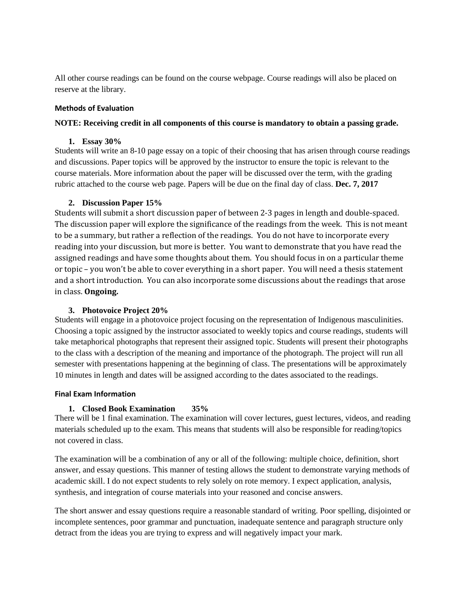All other course readings can be found on the course webpage. Course readings will also be placed on reserve at the library.

### **Methods of Evaluation**

### **NOTE: Receiving credit in all components of this course is mandatory to obtain a passing grade.**

### **1. Essay 30%**

Students will write an 8-10 page essay on a topic of their choosing that has arisen through course readings and discussions. Paper topics will be approved by the instructor to ensure the topic is relevant to the course materials. More information about the paper will be discussed over the term, with the grading rubric attached to the course web page. Papers will be due on the final day of class. **Dec. 7, 2017**

## **2. Discussion Paper 15%**

Students will submit a short discussion paper of between 2-3 pages in length and double-spaced. The discussion paper will explore the significance of the readings from the week. This is not meant to be a summary, but rather a reflection of the readings. You do not have to incorporate every reading into your discussion, but more is better. You want to demonstrate that you have read the assigned readings and have some thoughts about them. You should focus in on a particular theme or topic – you won't be able to cover everything in a short paper. You will need a thesis statement and a short introduction. You can also incorporate some discussions about the readings that arose in class. **Ongoing.**

## **3. Photovoice Project 20%**

Students will engage in a photovoice project focusing on the representation of Indigenous masculinities. Choosing a topic assigned by the instructor associated to weekly topics and course readings, students will take metaphorical photographs that represent their assigned topic. Students will present their photographs to the class with a description of the meaning and importance of the photograph. The project will run all semester with presentations happening at the beginning of class. The presentations will be approximately 10 minutes in length and dates will be assigned according to the dates associated to the readings.

### **Final Exam Information**

## **1. Closed Book Examination 35%**

There will be 1 final examination. The examination will cover lectures, guest lectures, videos, and reading materials scheduled up to the exam. This means that students will also be responsible for reading/topics not covered in class.

The examination will be a combination of any or all of the following: multiple choice, definition, short answer, and essay questions. This manner of testing allows the student to demonstrate varying methods of academic skill. I do not expect students to rely solely on rote memory. I expect application, analysis, synthesis, and integration of course materials into your reasoned and concise answers.

The short answer and essay questions require a reasonable standard of writing. Poor spelling, disjointed or incomplete sentences, poor grammar and punctuation, inadequate sentence and paragraph structure only detract from the ideas you are trying to express and will negatively impact your mark.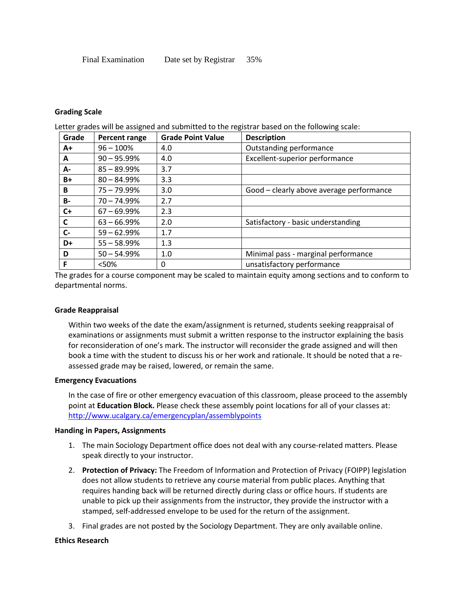#### **Grading Scale**

Letter grades will be assigned and submitted to the registrar based on the following scale:

| Grade     | Percent range  | <b>Grade Point Value</b> | <b>Description</b>                       |
|-----------|----------------|--------------------------|------------------------------------------|
| A+        | $96 - 100%$    | 4.0                      | Outstanding performance                  |
| A         | $90 - 95.99\%$ | 4.0                      | <b>Excellent-superior performance</b>    |
| А-        | $85 - 89.99\%$ | 3.7                      |                                          |
| $B+$      | $80 - 84.99\%$ | 3.3                      |                                          |
| B         | $75 - 79.99\%$ | 3.0                      | Good - clearly above average performance |
| <b>B-</b> | $70 - 74.99\%$ | 2.7                      |                                          |
| $C+$      | $67 - 69.99\%$ | 2.3                      |                                          |
| C         | $63 - 66.99%$  | 2.0                      | Satisfactory - basic understanding       |
| $C -$     | $59 - 62.99%$  | 1.7                      |                                          |
| D+        | $55 - 58.99%$  | 1.3                      |                                          |
| D         | $50 - 54.99%$  | 1.0                      | Minimal pass - marginal performance      |
| F         | <50%           | 0                        | unsatisfactory performance               |

The grades for a course component may be scaled to maintain equity among sections and to conform to departmental norms.

#### **Grade Reappraisal**

Within two weeks of the date the exam/assignment is returned, students seeking reappraisal of examinations or assignments must submit a written response to the instructor explaining the basis for reconsideration of one's mark. The instructor will reconsider the grade assigned and will then book a time with the student to discuss his or her work and rationale. It should be noted that a reassessed grade may be raised, lowered, or remain the same.

#### **Emergency Evacuations**

In the case of fire or other emergency evacuation of this classroom, please proceed to the assembly point at **Education Block.** Please check these assembly point locations for all of your classes at: <http://www.ucalgary.ca/emergencyplan/assemblypoints>

#### **Handing in Papers, Assignments**

- 1. The main Sociology Department office does not deal with any course-related matters. Please speak directly to your instructor.
- 2. **Protection of Privacy:** The Freedom of Information and Protection of Privacy (FOIPP) legislation does not allow students to retrieve any course material from public places. Anything that requires handing back will be returned directly during class or office hours. If students are unable to pick up their assignments from the instructor, they provide the instructor with a stamped, self-addressed envelope to be used for the return of the assignment.
- 3. Final grades are not posted by the Sociology Department. They are only available online.

#### **Ethics Research**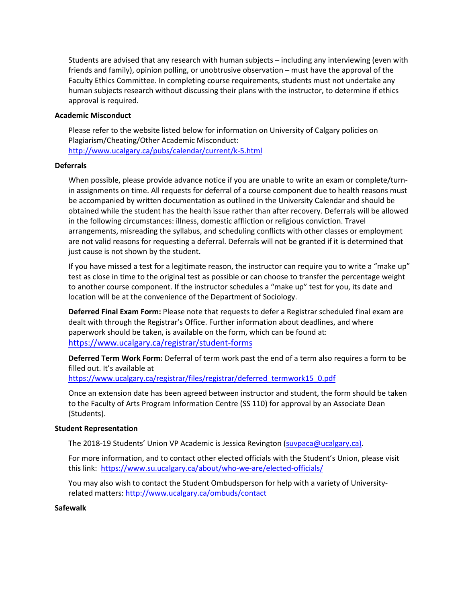Students are advised that any research with human subjects – including any interviewing (even with friends and family), opinion polling, or unobtrusive observation – must have the approval of the Faculty Ethics Committee. In completing course requirements, students must not undertake any human subjects research without discussing their plans with the instructor, to determine if ethics approval is required.

#### **Academic Misconduct**

Please refer to the website listed below for information on University of Calgary policies on Plagiarism/Cheating/Other Academic Misconduct: <http://www.ucalgary.ca/pubs/calendar/current/k-5.html>

#### **Deferrals**

When possible, please provide advance notice if you are unable to write an exam or complete/turnin assignments on time. All requests for deferral of a course component due to health reasons must be accompanied by written documentation as outlined in the University Calendar and should be obtained while the student has the health issue rather than after recovery. Deferrals will be allowed in the following circumstances: illness, domestic affliction or religious conviction. Travel arrangements, misreading the syllabus, and scheduling conflicts with other classes or employment are not valid reasons for requesting a deferral. Deferrals will not be granted if it is determined that just cause is not shown by the student.

If you have missed a test for a legitimate reason, the instructor can require you to write a "make up" test as close in time to the original test as possible or can choose to transfer the percentage weight to another course component. If the instructor schedules a "make up" test for you, its date and location will be at the convenience of the Department of Sociology.

**Deferred Final Exam Form:** Please note that requests to defer a Registrar scheduled final exam are dealt with through the Registrar's Office. Further information about deadlines, and where paperwork should be taken, is available on the form, which can be found at: <https://www.ucalgary.ca/registrar/student-forms>

**Deferred Term Work Form:** Deferral of term work past the end of a term also requires a form to be filled out. It's available at

[https://www.ucalgary.ca/registrar/files/registrar/deferred\\_termwork15\\_0.pdf](https://www.ucalgary.ca/registrar/files/registrar/deferred_termwork15_0.pdf) 

Once an extension date has been agreed between instructor and student, the form should be taken to the Faculty of Arts Program Information Centre (SS 110) for approval by an Associate Dean (Students).

### **Student Representation**

The 2018-19 Students' Union VP Academic is Jessica Revington [\(suvpaca@ucalgary.ca\)](mailto:suvpaca@ucalgary.ca).

For more information, and to contact other elected officials with the Student's Union, please visit this link:<https://www.su.ucalgary.ca/about/who-we-are/elected-officials/>

You may also wish to contact the Student Ombudsperson for help with a variety of Universityrelated matters:<http://www.ucalgary.ca/ombuds/contact>

### **Safewalk**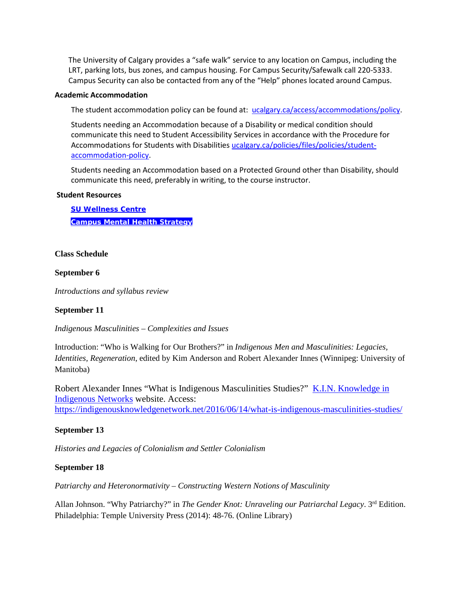The University of Calgary provides a "safe walk" service to any location on Campus, including the LRT, parking lots, bus zones, and campus housing. For Campus Security/Safewalk call 220-5333. Campus Security can also be contacted from any of the "Help" phones located around Campus.

#### **Academic Accommodation**

The student accommodation policy can be found at: [ucalgary.ca/access/accommodations/policy.](http://www.ucalgary.ca/access/accommodations/policy)

Students needing an Accommodation because of a Disability or medical condition should communicate this need to Student Accessibility Services in accordance with the Procedure for Accommodations for Students with Disabilities [ucalgary.ca/policies/files/policies/student](http://www.ucalgary.ca/policies/files/policies/student-accommodation-policy.pdf)[accommodation-policy.](http://www.ucalgary.ca/policies/files/policies/student-accommodation-policy.pdf)

Students needing an Accommodation based on a Protected Ground other than Disability, should communicate this need, preferably in writing, to the course instructor.

#### **Student Resources**

**[SU Wellness Centre](http://www.ucalgary.ca/wellnesscentre/) [Campus Mental Health Strategy](https://www.ucalgary.ca/mentalhealth/)**

#### **Class Schedule**

#### **September 6**

*Introductions and syllabus review*

#### **September 11**

#### *Indigenous Masculinities – Complexities and Issues*

Introduction: "Who is Walking for Our Brothers?" in *Indigenous Men and Masculinities: Legacies, Identities, Regeneration*, edited by Kim Anderson and Robert Alexander Innes (Winnipeg: University of Manitoba)

Robert Alexander Innes "What is Indigenous Masculinities Studies?" [K.I.N. Knowledge in](https://indigenousknowledgenetwork.net/)  [Indigenous Networks](https://indigenousknowledgenetwork.net/) website. Access: <https://indigenousknowledgenetwork.net/2016/06/14/what-is-indigenous-masculinities-studies/>

#### **September 13**

*Histories and Legacies of Colonialism and Settler Colonialism* 

#### **September 18**

*Patriarchy and Heteronormativity – Constructing Western Notions of Masculinity* 

Allan Johnson. "Why Patriarchy?" in *The Gender Knot: Unraveling our Patriarchal Legacy*. 3rd Edition. Philadelphia: Temple University Press (2014): 48-76. (Online Library)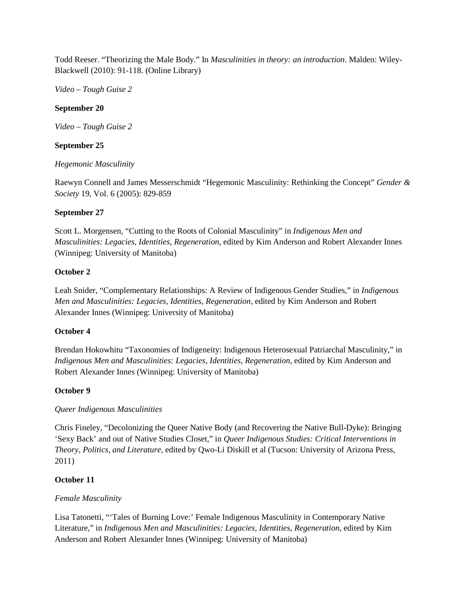Todd Reeser. "Theorizing the Male Body." In *Masculinities in theory: an introduction*. Malden: Wiley-Blackwell (2010): 91-118. (Online Library)

*Video – Tough Guise 2*

## **September 20**

*Video – Tough Guise 2*

## **September 25**

## *Hegemonic Masculinity*

Raewyn Connell and James Messerschmidt "Hegemonic Masculinity: Rethinking the Concept" *Gender & Society* 19, Vol. 6 (2005): 829-859

## **September 27**

Scott L. Morgensen, "Cutting to the Roots of Colonial Masculinity" in *Indigenous Men and Masculinities: Legacies, Identities, Regeneration*, edited by Kim Anderson and Robert Alexander Innes (Winnipeg: University of Manitoba)

## **October 2**

Leah Snider, "Complementary Relationships: A Review of Indigenous Gender Studies," in *Indigenous Men and Masculinities: Legacies, Identities, Regeneration*, edited by Kim Anderson and Robert Alexander Innes (Winnipeg: University of Manitoba)

## **October 4**

Brendan Hokowhitu "Taxonomies of Indigeneity: Indigenous Heterosexual Patriarchal Masculinity," in *Indigenous Men and Masculinities: Legacies, Identities, Regeneration*, edited by Kim Anderson and Robert Alexander Innes (Winnipeg: University of Manitoba)

## **October 9**

## *Queer Indigenous Masculinities*

Chris Fineley, "Decolonizing the Queer Native Body (and Recovering the Native Bull-Dyke): Bringing 'Sexy Back' and out of Native Studies Closet," in *Queer Indigenous Studies: Critical Interventions in Theory, Politics, and Literature*, edited by Qwo-Li Diskill et al (Tucson: University of Arizona Press, 2011)

## **October 11**

## *Female Masculinity*

Lisa Tatonetti, "'Tales of Burning Love:' Female Indigenous Masculinity in Contemporary Native Literature," in *Indigenous Men and Masculinities: Legacies, Identities, Regeneration*, edited by Kim Anderson and Robert Alexander Innes (Winnipeg: University of Manitoba)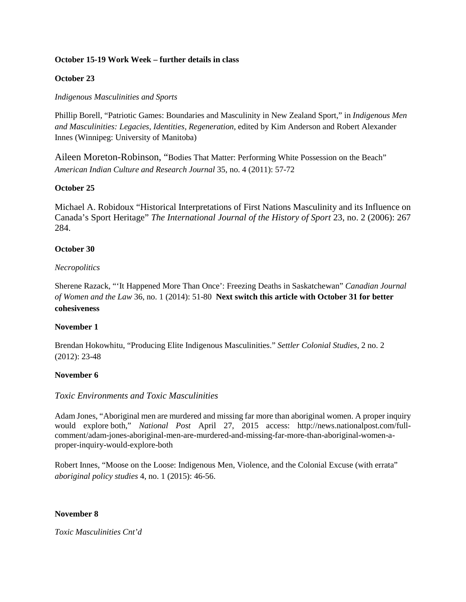### **October 15-19 Work Week – further details in class**

### **October 23**

*Indigenous Masculinities and Sports*

Phillip Borell, "Patriotic Games: Boundaries and Masculinity in New Zealand Sport," in *Indigenous Men and Masculinities: Legacies, Identities, Regeneration*, edited by Kim Anderson and Robert Alexander Innes (Winnipeg: University of Manitoba)

Aileen Moreton-Robinson, "Bodies That Matter: Performing White Possession on the Beach" *American Indian Culture and Research Journal* 35, no. 4 (2011): 57-72

## **October 25**

Michael A. Robidoux "Historical Interpretations of First Nations Masculinity and its Influence on Canada's Sport Heritage" *The International Journal of the History of Sport* 23, no. 2 (2006): 267 284.

## **October 30**

## *Necropolitics*

Sherene Razack, "'It Happened More Than Once': Freezing Deaths in Saskatchewan" *Canadian Journal of Women and the Law* 36, no. 1 (2014): 51-80 **Next switch this article with October 31 for better cohesiveness**

## **November 1**

Brendan Hokowhitu, "Producing Elite Indigenous Masculinities." *Settler Colonial Studies*, 2 no. 2 (2012): 23-48

### **November 6**

## *Toxic Environments and Toxic Masculinities*

Adam Jones, "Aboriginal men are murdered and missing far more than aboriginal women. A proper inquiry would explore both," *National Post* April 27, 2015 access: [http://news.nationalpost.com/full](http://news.nationalpost.com/full-comment/adam-jones-aboriginal-men-are-murdered-and-missing-far-more-than-aboriginal-women-a-proper-inquiry-would-explore-both)[comment/adam-jones-aboriginal-men-are-murdered-and-missing-far-more-than-aboriginal-women-a](http://news.nationalpost.com/full-comment/adam-jones-aboriginal-men-are-murdered-and-missing-far-more-than-aboriginal-women-a-proper-inquiry-would-explore-both)[proper-inquiry-would-explore-both](http://news.nationalpost.com/full-comment/adam-jones-aboriginal-men-are-murdered-and-missing-far-more-than-aboriginal-women-a-proper-inquiry-would-explore-both) 

Robert Innes, "Moose on the Loose: Indigenous Men, Violence, and the Colonial Excuse (with errata" *aboriginal policy studies* 4, no. 1 (2015): 46-56.

### **November 8**

*Toxic Masculinities Cnt'd*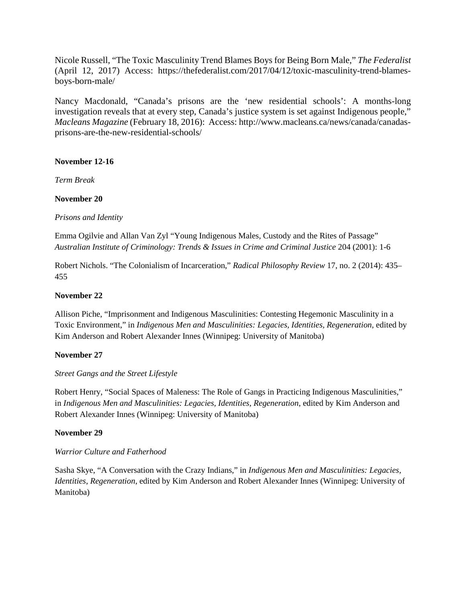Nicole Russell, "The Toxic Masculinity Trend Blames Boys for Being Born Male," *The Federalist* (April 12, 2017) Access: https://thefederalist.com/2017/04/12/toxic-masculinity-trend-blamesboys-born-male/

Nancy Macdonald, "Canada's prisons are the 'new residential schools': A months-long investigation reveals that at every step, Canada's justice system is set against Indigenous people," *Macleans Magazine* (February 18, 2016): Access: http://www.macleans.ca/news/canada/canadasprisons-are-the-new-residential-schools/

### **November 12-16**

*Term Break*

### **November 20**

### *Prisons and Identity*

Emma Ogilvie and Allan Van Zyl "Young Indigenous Males, Custody and the Rites of Passage" *Australian Institute of Criminology: Trends & Issues in Crime and Criminal Justice* 204 (2001): 1-6

Robert Nichols. "The Colonialism of Incarceration," *Radical Philosophy Review* 17, no. 2 (2014): 435– 455

### **November 22**

Allison Piche, "Imprisonment and Indigenous Masculinities: Contesting Hegemonic Masculinity in a Toxic Environment," in *Indigenous Men and Masculinities: Legacies, Identities, Regeneration*, edited by Kim Anderson and Robert Alexander Innes (Winnipeg: University of Manitoba)

## **November 27**

### *Street Gangs and the Street Lifestyle*

Robert Henry, "Social Spaces of Maleness: The Role of Gangs in Practicing Indigenous Masculinities," in *Indigenous Men and Masculinities: Legacies, Identities, Regeneration*, edited by Kim Anderson and Robert Alexander Innes (Winnipeg: University of Manitoba)

### **November 29**

## *Warrior Culture and Fatherhood*

Sasha Skye, "A Conversation with the Crazy Indians," in *Indigenous Men and Masculinities: Legacies, Identities, Regeneration*, edited by Kim Anderson and Robert Alexander Innes (Winnipeg: University of Manitoba)